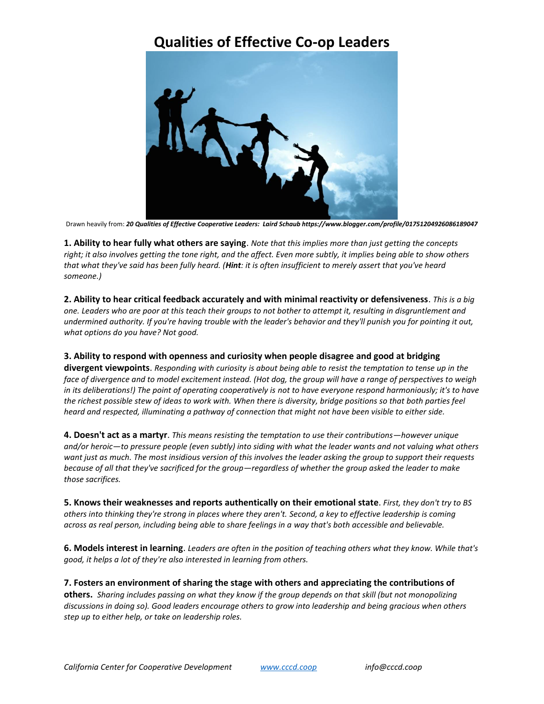## **Qualities of Effective Co-op Leaders**



Drawn heavily from: *[20 Qualities of Effective Cooperative Leaders:](http://communityandconsensus.blogspot.com/2011/09/20-qualities-of-effective-cooperative.html) Laird Schaub https://www.blogger.com/profile/01751204926086189047*

**1. Ability to hear fully what others are saying**. *Note that this implies more than just getting the concepts right; it also involves getting the tone right, and the affect. Even more subtly, it implies being able to show others that what they've said has been fully heard. (Hint: it is often insufficient to merely assert that you've heard someone.)*

**2. Ability to hear critical feedback accurately and with minimal reactivity or defensiveness**. *This is a big one. Leaders who are poor at this teach their groups to not bother to attempt it, resulting in disgruntlement and undermined authority. If you're having trouble with the leader's behavior and they'll punish you for pointing it out, what options do you have? Not good.*

## **3. Ability to respond with openness and curiosity when people disagree and good at bridging**

**divergent viewpoints**. *Responding with curiosity is about being able to resist the temptation to tense up in the face of divergence and to model excitement instead. (Hot dog, the group will have a range of perspectives to weigh in its deliberations!) The point of operating cooperatively is not to have everyone respond harmoniously; it's to have the richest possible stew of ideas to work with. When there is diversity, bridge positions so that both parties feel heard and respected, illuminating a pathway of connection that might not have been visible to either side.*

**4. Doesn't act as a martyr**. *This means resisting the temptation to use their contributions—however unique and/or heroic—to pressure people (even subtly) into siding with what the leader wants and not valuing what others want just as much. The most insidious version of this involves the leader asking the group to support their requests because of all that they've sacrificed for the group—regardless of whether the group asked the leader to make those sacrifices.*

**5. Knows their weaknesses and reports authentically on their emotional state**. *First, they don't try to BS others into thinking they're strong in places where they aren't. Second, a key to effective leadership is coming across as real person, including being able to share feelings in a way that's both accessible and believable.* 

**6. Models interest in learning**. *Leaders are often in the position of teaching others what they know. While that's good, it helps a lot of they're also interested in learning from others.*

**7. Fosters an environment of sharing the stage with others and appreciating the contributions of others.** *Sharing includes passing on what they know if the group depends on that skill (but not monopolizing discussions in doing so). Good leaders encourage others to grow into leadership and being gracious when others step up to either help, or take on leadership roles.*